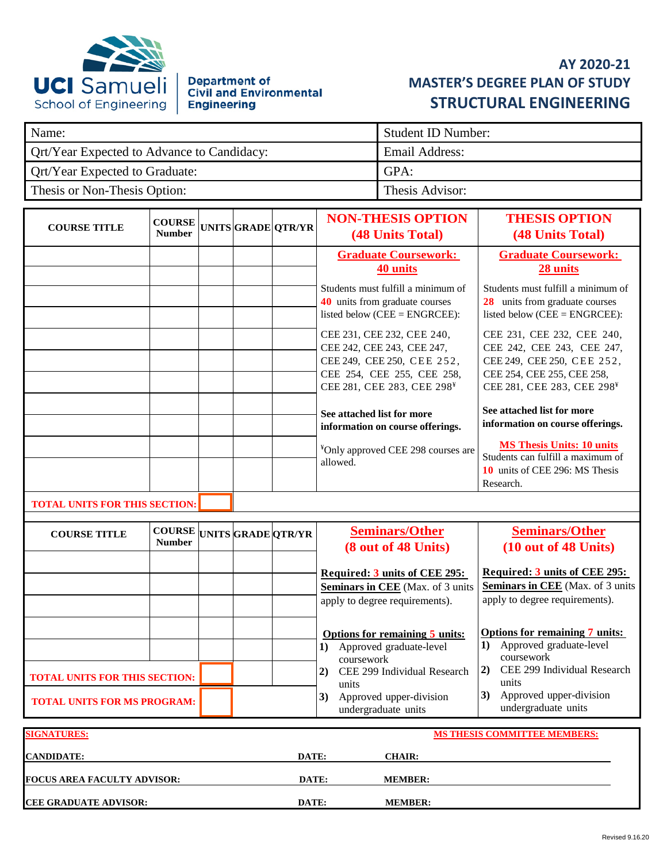

# **Department of<br>Civil and Environmental Engineering**

## **AY 2020-21 MASTER'S DEGREE PLAN OF STUDY STRUCTURAL ENGINEERING**

| Name:                                      | Student ID Number: |
|--------------------------------------------|--------------------|
| Ort/Year Expected to Advance to Candidacy: | Email Address:     |
| <b>Ort/Year Expected to Graduate:</b>      | GPA:               |
| Thesis or Non-Thesis Option:               | Thesis Advisor:    |

| <b>COURSE TITLE</b>                  | <b>COURSE</b><br><b>Number</b> |  | UNITSGRADE OTR/YR | <b>NON-THESIS OPTION</b><br>(48 Units Total)                                                                                                                                                                                                                                                                                                                                                                                                                  | <b>THESIS OPTION</b><br><b>(48 Units Total)</b>                                                                                                                                                                                                                                                                                                                                                                                                                          |
|--------------------------------------|--------------------------------|--|-------------------|---------------------------------------------------------------------------------------------------------------------------------------------------------------------------------------------------------------------------------------------------------------------------------------------------------------------------------------------------------------------------------------------------------------------------------------------------------------|--------------------------------------------------------------------------------------------------------------------------------------------------------------------------------------------------------------------------------------------------------------------------------------------------------------------------------------------------------------------------------------------------------------------------------------------------------------------------|
|                                      |                                |  |                   | <b>Graduate Coursework:</b><br>40 units<br>Students must fulfill a minimum of<br><b>40</b> units from graduate courses<br>listed below ( $CEE = ENGRCEE$ ):<br>CEE 231, CEE 232, CEE 240,<br>CEE 242, CEE 243, CEE 247,<br>CEE 249, CEE 250, CEE 252,<br>CEE 254, CEE 255, CEE 258,<br>CEE 281, CEE 283, CEE 298 <sup>¥</sup><br>See attached list for more<br>information on course offerings.<br><sup>¥</sup> Only approved CEE 298 courses are<br>allowed. | <b>Graduate Coursework:</b><br>28 units<br>Students must fulfill a minimum of<br><b>28</b> units from graduate courses<br>listed below ( $CEE = ENGRCEE$ ):<br>CEE 231, CEE 232, CEE 240,<br>CEE 242, CEE 243, CEE 247,<br>CEE 249, CEE 250, CEE 252,<br>CEE 254, CEE 255, CEE 258,<br>CEE 281, CEE 283, CEE 298 <sup>¥</sup><br>See attached list for more<br>information on course offerings.<br><b>MS Thesis Units: 10 units</b><br>Students can fulfill a maximum of |
|                                      |                                |  |                   |                                                                                                                                                                                                                                                                                                                                                                                                                                                               | 10 units of CEE 296: MS Thesis<br>Research.                                                                                                                                                                                                                                                                                                                                                                                                                              |
| <b>TOTAL UNITS FOR THIS SECTION:</b> |                                |  |                   |                                                                                                                                                                                                                                                                                                                                                                                                                                                               |                                                                                                                                                                                                                                                                                                                                                                                                                                                                          |

| <b>COURSE TITLE</b>                     | <b>Number</b> |  | <b>COURSE</b> UNITS GRADE QTR/YR | <b>Seminars/Other</b><br>(8 out of 48 Units)                                                                              | <b>Seminars/Other</b><br>(10 out of 48 Units)                                                                                                     |
|-----------------------------------------|---------------|--|----------------------------------|---------------------------------------------------------------------------------------------------------------------------|---------------------------------------------------------------------------------------------------------------------------------------------------|
|                                         |               |  |                                  | Required: 3 units of CEE 295:<br><b>Seminars in CEE</b> (Max. of 3 units<br>apply to degree requirements).                | <b>Required: 3 units of CEE 295:</b><br><b>Seminars in CEE</b> (Max. of 3 units<br>apply to degree requirements).                                 |
| <b>TOTAL UNITS FOR THIS SECTION:</b>    |               |  |                                  | <b>Options for remaining 5 units:</b><br>Approved graduate-level<br>1)<br>coursework<br>CEE 299 Individual Research<br>2) | <b>Options for remaining 7 units:</b><br>Approved graduate-level<br>1)<br>coursework<br>CEE 299 Individual Research<br>$\left( 2\right)$<br>units |
| <b>TOTAL UNITS FOR MS PROGRAM:</b>      |               |  |                                  | units<br>3)<br>Approved upper-division<br>undergraduate units                                                             | Approved upper-division<br>3)<br>undergraduate units                                                                                              |
| <b>SIGNATURES:</b><br><b>CANDIDATE:</b> |               |  | DATE:                            | <b>CHAIR:</b>                                                                                                             | <b>MS THESIS COMMITTEE MEMBERS:</b>                                                                                                               |

**FOCUS AREA FACULTY ADVISOR: DATE: MEMBER:**

**CEE GRADUATE ADVISOR:** DATE: MEMBER: